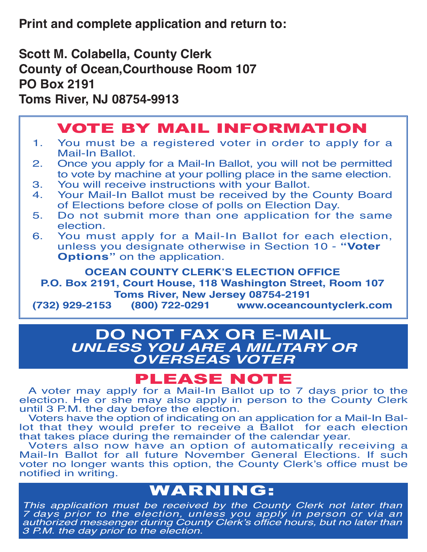**Print and complete application and return to:**

**Scott M. Colabella, County Clerk County of Ocean,Courthouse Room 107 PO Box 2191 Toms River, NJ 08754-9913**

## VOTE BY MAIL INFORMATION

- 1. You must be a registered voter in order to apply for a Mail-In Ballot.<br>2. Once you app
- 2. Once you apply for a Mail-In Ballot, you will not be permitted to vote by machine at your polling place in the same election.<br>3. You will receive instructions with your Ballot.
- 3. You will receive instructions with your Ballot.<br>4. Your Mail-In Ballot must be received by the
- Your Mail-In Ballot must be received by the County Board of Elections before close of polls on Election Day.<br>5. Do not submit more than one application for the
- Do not submit more than one application for the same election.<br>6. You must
- You must apply for a Mail-In Ballot for each election, unless you designate otherwise in Section 10 - **"Voter Options"** on the application.

**OCEAN COUNTY CLERK'S ELECTION OFFICE P.O. Box 2191, Court House, 118 Washington Street, Room 107 Toms River, New Jersey 08754-2191 (732) 929-2153 (800) 722-0291 www.oceancountyclerk.com**

## **DO NOT FAX OR E-MAIL** *UNLESS YOU ARE A MILITARY OR OVERSEAS VOTER*

**PLEASE NOTE**<br>A voter may apply for a Mail-In Ballot up to 7 days prior to the election. He or she may also apply in person to the County Clerk until 3 P.M. the day before the election.

 Voters have the option of indicating on an application for a Mail-In Ballot that they would prefer to receive a Ballot for each election that takes place during the remainder of the calendar year.

 Voters also now have an option of automatically receiving a Mail-In Ballot for all future November General Elections. If such voter no longer wants this option, the County Clerk's office must be notified in writing.

## WARNING:

*This application must be received by the County Clerk not later than 7 days prior to the election, unless you apply in person or via an authorized messenger during County Clerk's office hours, but no later than 3 P.M. the day prior to the election.*